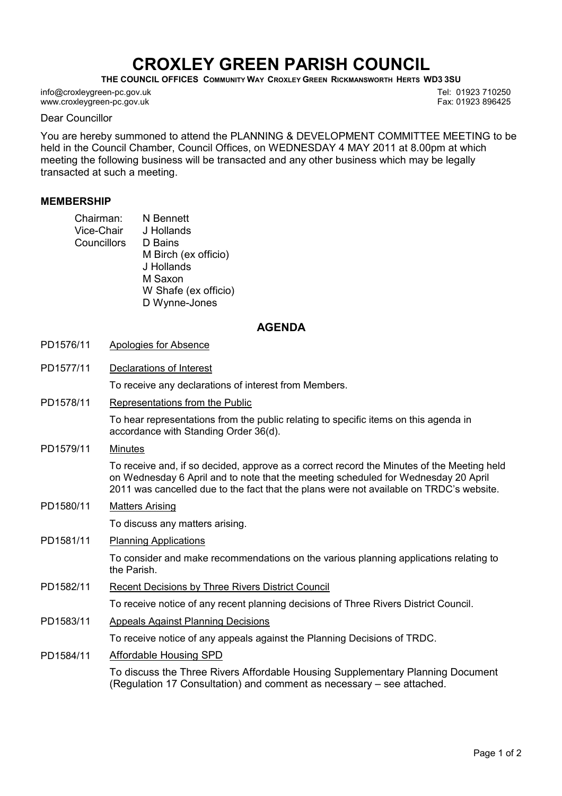## CROXLEY GREEN PARISH COUNCIL

THE COUNCIL OFFICES COMMUNITY WAY CROXLEY GREEN RICKMANSWORTH HERTS WD3 3SU

info@croxleygreen-pc.gov.uk www.croxleygreen-pc.gov.uk

Dear Councillor

You are hereby summoned to attend the PLANNING & DEVELOPMENT COMMITTEE MEETING to be held in the Council Chamber, Council Offices, on WEDNESDAY 4 MAY 2011 at 8.00pm at which meeting the following business will be transacted and any other business which may be legally transacted at such a meeting.

## MEMBERSHIP

| Chairman:   | N Bennett            |
|-------------|----------------------|
| Vice-Chair  | J Hollands           |
| Councillors | D Bains              |
|             | M Birch (ex officio) |
|             | J Hollands           |
|             | M Saxon              |
|             | W Shafe (ex officio) |
|             | D Wynne-Jones        |

## AGENDA

- PD1576/11 Apologies for Absence
- PD1577/11 Declarations of Interest

To receive any declarations of interest from Members.

PD1578/11 Representations from the Public

To hear representations from the public relating to specific items on this agenda in accordance with Standing Order 36(d).

PD1579/11 Minutes

To receive and, if so decided, approve as a correct record the Minutes of the Meeting held on Wednesday 6 April and to note that the meeting scheduled for Wednesday 20 April 2011 was cancelled due to the fact that the plans were not available on TRDC's website.

PD1580/11 Matters Arising

To discuss any matters arising.

PD1581/11 Planning Applications

To consider and make recommendations on the various planning applications relating to the Parish.

PD1582/11 Recent Decisions by Three Rivers District Council

To receive notice of any recent planning decisions of Three Rivers District Council.

PD1583/11 Appeals Against Planning Decisions

To receive notice of any appeals against the Planning Decisions of TRDC.

PD1584/11 Affordable Housing SPD

To discuss the Three Rivers Affordable Housing Supplementary Planning Document (Regulation 17 Consultation) and comment as necessary – see attached.

Tel: 01923 710250 Fax: 01923 896425